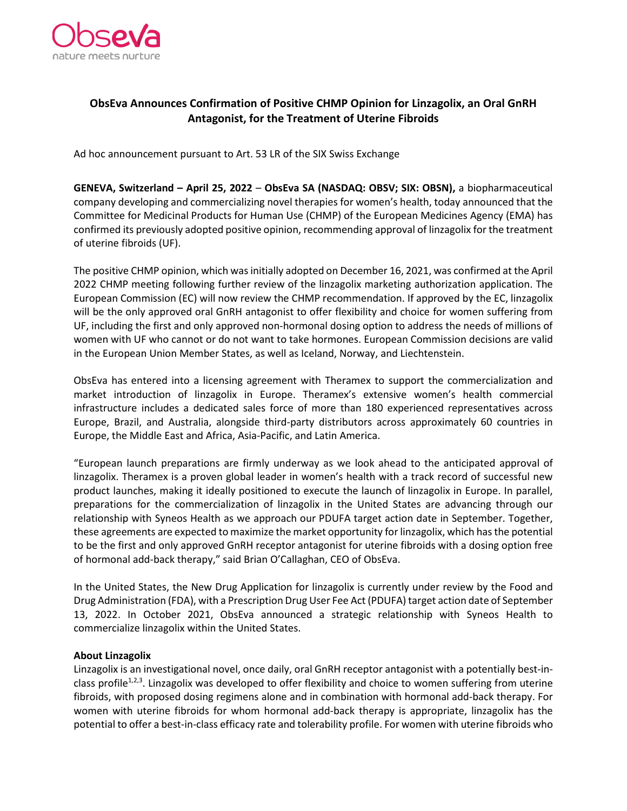

# **ObsEva Announces Confirmation of Positive CHMP Opinion for Linzagolix, an Oral GnRH Antagonist, for the Treatment of Uterine Fibroids**

Ad hoc announcement pursuant to Art. 53 LR of the SIX Swiss Exchange

**GENEVA, Switzerland – April 25, 2022** – **ObsEva SA (NASDAQ: OBSV; SIX: OBSN),** a biopharmaceutical company developing and commercializing novel therapies for women's health, today announced that the Committee for Medicinal Products for Human Use (CHMP) of the European Medicines Agency (EMA) has confirmed its previously adopted positive opinion, recommending approval of linzagolix for the treatment of uterine fibroids (UF).

The positive CHMP opinion, which was initially adopted on December 16, 2021, was confirmed at the April 2022 CHMP meeting following further review of the linzagolix marketing authorization application. The European Commission (EC) will now review the CHMP recommendation. If approved by the EC, linzagolix will be the only approved oral GnRH antagonist to offer flexibility and choice for women suffering from UF, including the first and only approved non-hormonal dosing option to address the needs of millions of women with UF who cannot or do not want to take hormones. European Commission decisions are valid in the European Union Member States, as well as Iceland, Norway, and Liechtenstein.

ObsEva has entered into a licensing agreement with Theramex to support the commercialization and market introduction of linzagolix in Europe. Theramex's extensive women's health commercial infrastructure includes a dedicated sales force of more than 180 experienced representatives across Europe, Brazil, and Australia, alongside third-party distributors across approximately 60 countries in Europe, the Middle East and Africa, Asia-Pacific, and Latin America.

"European launch preparations are firmly underway as we look ahead to the anticipated approval of linzagolix. Theramex is a proven global leader in women's health with a track record of successful new product launches, making it ideally positioned to execute the launch of linzagolix in Europe. In parallel, preparations for the commercialization of linzagolix in the United States are advancing through our relationship with Syneos Health as we approach our PDUFA target action date in September. Together, these agreements are expected to maximize the market opportunity for linzagolix, which has the potential to be the first and only approved GnRH receptor antagonist for uterine fibroids with a dosing option free of hormonal add-back therapy," said Brian O'Callaghan, CEO of ObsEva.

In the United States, the New Drug Application for linzagolix is currently under review by the Food and Drug Administration (FDA), with a Prescription Drug User Fee Act (PDUFA) target action date of September 13, 2022. In October 2021, ObsEva announced a strategic relationship with Syneos Health to commercialize linzagolix within the United States.

## **About Linzagolix**

Linzagolix is an investigational novel, once daily, oral GnRH receptor antagonist with a potentially best-inclass profile<sup>1,2,3</sup>. Linzagolix was developed to offer flexibility and choice to women suffering from uterine fibroids, with proposed dosing regimens alone and in combination with hormonal add-back therapy. For women with uterine fibroids for whom hormonal add-back therapy is appropriate, linzagolix has the potential to offer a best-in-class efficacy rate and tolerability profile. For women with uterine fibroids who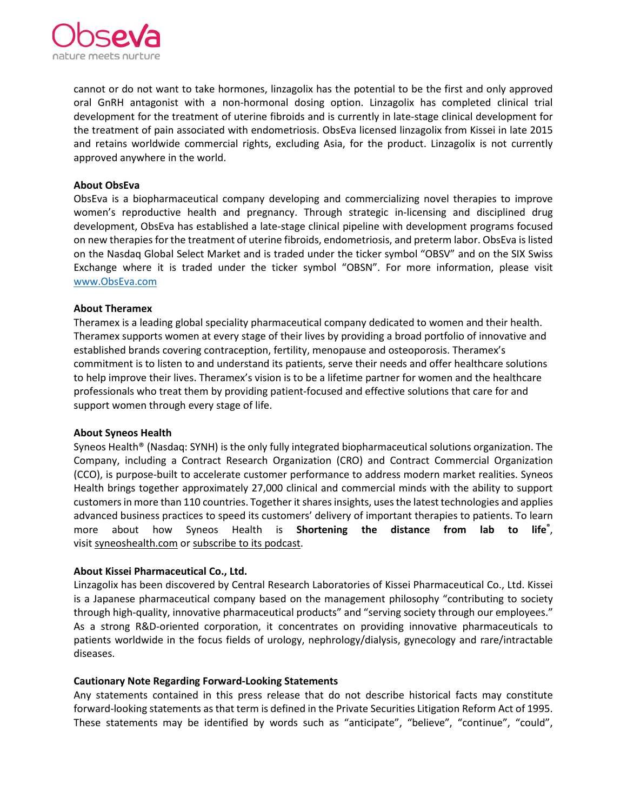

cannot or do not want to take hormones, linzagolix has the potential to be the first and only approved oral GnRH antagonist with a non-hormonal dosing option. Linzagolix has completed clinical trial development for the treatment of uterine fibroids and is currently in late-stage clinical development for the treatment of pain associated with endometriosis. ObsEva licensed linzagolix from Kissei in late 2015 and retains worldwide commercial rights, excluding Asia, for the product. Linzagolix is not currently approved anywhere in the world.

### **About ObsEva**

ObsEva is a biopharmaceutical company developing and commercializing novel therapies to improve women's reproductive health and pregnancy. Through strategic in-licensing and disciplined drug development, ObsEva has established a late-stage clinical pipeline with development programs focused on new therapies for the treatment of uterine fibroids, endometriosis, and preterm labor. ObsEva is listed on the Nasdaq Global Select Market and is traded under the ticker symbol "OBSV" and on the SIX Swiss Exchange where it is traded under the ticker symbol "OBSN". For more information, please visit [www.ObsEva.com](http://www.obseva.com/)

#### **About Theramex**

Theramex is a leading global speciality pharmaceutical company dedicated to women and their health. Theramex supports women at every stage of their lives by providing a broad portfolio of innovative and established brands covering contraception, fertility, menopause and osteoporosis. Theramex's commitment is to listen to and understand its patients, serve their needs and offer healthcare solutions to help improve their lives. Theramex's vision is to be a lifetime partner for women and the healthcare professionals who treat them by providing patient-focused and effective solutions that care for and support women through every stage of life.

#### **About Syneos Health**

Syneos Health® (Nasdaq: SYNH) is the only fully integrated biopharmaceutical solutions organization. The Company, including a Contract Research Organization (CRO) and Contract Commercial Organization (CCO), is purpose-built to accelerate customer performance to address modern market realities. Syneos Health brings together approximately 27,000 clinical and commercial minds with the ability to support customers in more than 110 countries. Together it shares insights, uses the latest technologies and applies advanced business practices to speed its customers' delivery of important therapies to patients. To learn more about how Syneos Health is **Shortening the distance from lab to life®** , visit [syneoshealth.com](https://www.globenewswire.com/Tracker?data=64AnOXw3vyt8S9eQLZUIC4Oe0DcEZCB6_E7dYNNYXewcu6dMI1DcxZUpWfVKzAie1ywF-AyV1ya9dPDSvQWTZ9hVFitk_AGe1L7fspH4z2Y=) or [subscribe to its](https://www.globenewswire.com/Tracker?data=DYB2XHUWY3eF2A_o8KIOZIdouKx5N4f_8Wvm1XbAhGCZZtoivUlJZXoO6NR8rXpqlRR0hiseyRd9zibyLwJ0vIi8VxyUR-EhsykZCV92E-8=) podcast.

## **About Kissei Pharmaceutical Co., Ltd.**

Linzagolix has been discovered by Central Research Laboratories of Kissei Pharmaceutical Co., Ltd. Kissei is a Japanese pharmaceutical company based on the management philosophy "contributing to society through high-quality, innovative pharmaceutical products" and "serving society through our employees." As a strong R&D-oriented corporation, it concentrates on providing innovative pharmaceuticals to patients worldwide in the focus fields of urology, nephrology/dialysis, gynecology and rare/intractable diseases.

#### **Cautionary Note Regarding Forward-Looking Statements**

Any statements contained in this press release that do not describe historical facts may constitute forward-looking statements as that term is defined in the Private Securities Litigation Reform Act of 1995. These statements may be identified by words such as "anticipate", "believe", "continue", "could",